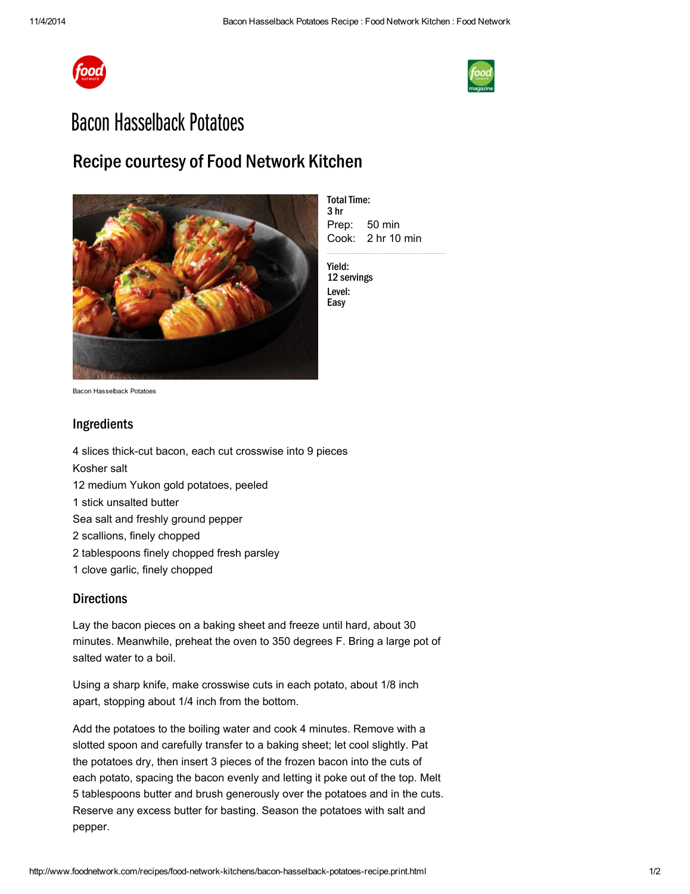



## **Bacon Hasselback Potatoes**

## Recipe courtesy of Food Network Kitchen



Prep: Cook: 2 hr 10 min **Total Time:** 3 hr 50 min

Yield: 12 servings Level: Easy

Bacon Hasselback Potatoes

## Ingredients

 slices thick-cut bacon, each cut crosswise into 9 pieces Kosher salt medium Yukon gold [potatoes,](http://www.foodterms.com/encyclopedia/potato/index.html) peeled stick [unsalted](http://www.foodterms.com/encyclopedia/butter/index.html) butter [Sea](http://www.foodterms.com/encyclopedia/sea-salt/index.html) salt and freshly ground pepper scallions, finely chopped tablespoons finely chopped fresh parsley clove [garlic,](http://www.foodterms.com/encyclopedia/garlic/index.html) finely chopped

## **Directions**

Lay the bacon pieces on a baking sheet and freeze until hard, about 30 minutes. Meanwhile, preheat the oven to 350 degrees F. Bring a large pot of salted water to a boil.

Using a sharp knife, make crosswise cuts in each potato, about 1/8 inch apart, stopping about 1/4 inch from the bottom.

Add the potatoes to the boiling water and cook 4 minutes. Remove with a slotted spoon and carefully transfer to a baking sheet; let cool slightly. Pat the potatoes dry, then insert 3 pieces of the frozen bacon into the cuts of each potato, spacing the bacon evenly and letting it poke out of the top. Melt 5 tablespoons butter and brush generously over the potatoes and in the cuts. Reserve any excess butter for basting. Season the potatoes with salt and pepper.